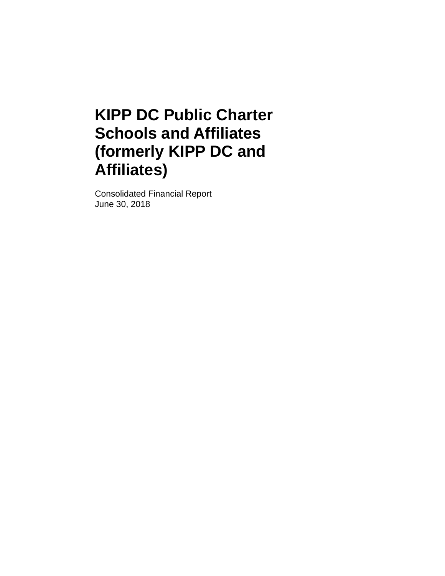Consolidated Financial Report June 30, 2018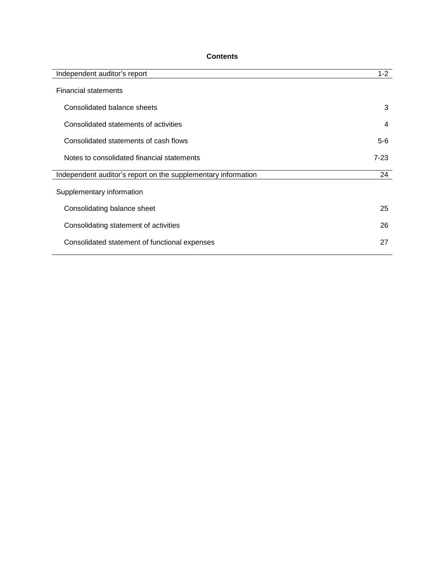# **Contents**

| Independent auditor's report                                  | $1 - 2$ |
|---------------------------------------------------------------|---------|
| <b>Financial statements</b>                                   |         |
| Consolidated balance sheets                                   | 3       |
| Consolidated statements of activities                         | 4       |
| Consolidated statements of cash flows                         | $5-6$   |
| Notes to consolidated financial statements                    | $7-23$  |
| Independent auditor's report on the supplementary information | 24      |
| Supplementary information                                     |         |
| Consolidating balance sheet                                   | 25      |
| Consolidating statement of activities                         | 26      |
| Consolidated statement of functional expenses                 | 27      |
|                                                               |         |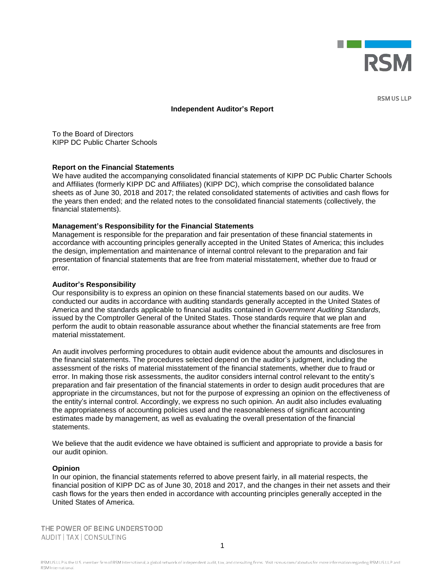

**RSM US LLP** 

#### **Independent Auditor's Report**

To the Board of Directors KIPP DC Public Charter Schools

#### **Report on the Financial Statements**

We have audited the accompanying consolidated financial statements of KIPP DC Public Charter Schools and Affiliates (formerly KIPP DC and Affiliates) (KIPP DC), which comprise the consolidated balance sheets as of June 30, 2018 and 2017; the related consolidated statements of activities and cash flows for the years then ended; and the related notes to the consolidated financial statements (collectively, the financial statements).

#### **Management's Responsibility for the Financial Statements**

Management is responsible for the preparation and fair presentation of these financial statements in accordance with accounting principles generally accepted in the United States of America; this includes the design, implementation and maintenance of internal control relevant to the preparation and fair presentation of financial statements that are free from material misstatement, whether due to fraud or error.

#### **Auditor's Responsibility**

Our responsibility is to express an opinion on these financial statements based on our audits. We conducted our audits in accordance with auditing standards generally accepted in the United States of America and the standards applicable to financial audits contained in *Government Auditing Standards,* issued by the Comptroller General of the United States. Those standards require that we plan and perform the audit to obtain reasonable assurance about whether the financial statements are free from material misstatement.

An audit involves performing procedures to obtain audit evidence about the amounts and disclosures in the financial statements. The procedures selected depend on the auditor's judgment, including the assessment of the risks of material misstatement of the financial statements, whether due to fraud or error. In making those risk assessments, the auditor considers internal control relevant to the entity's preparation and fair presentation of the financial statements in order to design audit procedures that are appropriate in the circumstances, but not for the purpose of expressing an opinion on the effectiveness of the entity's internal control. Accordingly, we express no such opinion. An audit also includes evaluating the appropriateness of accounting policies used and the reasonableness of significant accounting estimates made by management, as well as evaluating the overall presentation of the financial statements.

We believe that the audit evidence we have obtained is sufficient and appropriate to provide a basis for our audit opinion.

#### **Opinion**

In our opinion, the financial statements referred to above present fairly, in all material respects, the financial position of KIPP DC as of June 30, 2018 and 2017, and the changes in their net assets and their cash flows for the years then ended in accordance with accounting principles generally accepted in the United States of America.

THE POWER OF BEING UNDERSTOOD AUDIT | TAX | CONSULTING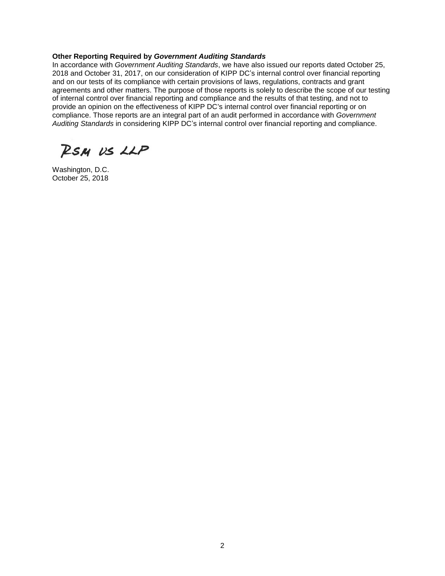#### **Other Reporting Required by** *Government Auditing Standards*

In accordance with *Government Auditing Standards*, we have also issued our reports dated October 25, 2018 and October 31, 2017, on our consideration of KIPP DC's internal control over financial reporting and on our tests of its compliance with certain provisions of laws, regulations, contracts and grant agreements and other matters. The purpose of those reports is solely to describe the scope of our testing of internal control over financial reporting and compliance and the results of that testing, and not to provide an opinion on the effectiveness of KIPP DC's internal control over financial reporting or on compliance. Those reports are an integral part of an audit performed in accordance with *Government Auditing Standards* in considering KIPP DC's internal control over financial reporting and compliance.

RSM US LLP

Washington, D.C. October 25, 2018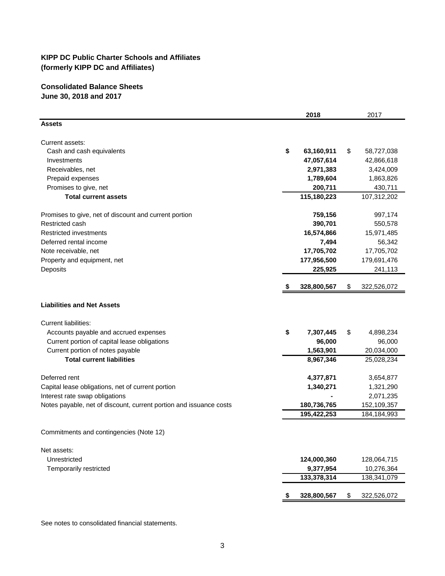## **Consolidated Balance Sheets June 30, 2018 and 2017**

|                                                                    | 2018              | 2017              |
|--------------------------------------------------------------------|-------------------|-------------------|
| <b>Assets</b>                                                      |                   |                   |
| Current assets:                                                    |                   |                   |
| Cash and cash equivalents                                          | \$<br>63,160,911  | \$<br>58,727,038  |
| Investments                                                        | 47,057,614        | 42,866,618        |
| Receivables, net                                                   | 2,971,383         | 3,424,009         |
| Prepaid expenses                                                   | 1,789,604         | 1,863,826         |
| Promises to give, net                                              | 200,711           | 430,711           |
| <b>Total current assets</b>                                        | 115,180,223       | 107,312,202       |
| Promises to give, net of discount and current portion              | 759,156           | 997,174           |
| Restricted cash                                                    | 390,701           | 550,578           |
| <b>Restricted investments</b>                                      | 16,574,866        | 15,971,485        |
| Deferred rental income                                             | 7,494             | 56,342            |
| Note receivable, net                                               | 17,705,702        | 17,705,702        |
| Property and equipment, net                                        | 177,956,500       | 179,691,476       |
| Deposits                                                           | 225,925           | 241,113           |
|                                                                    | 328,800,567       | \$<br>322,526,072 |
| <b>Liabilities and Net Assets</b>                                  |                   |                   |
| <b>Current liabilities:</b>                                        |                   |                   |
| Accounts payable and accrued expenses                              | \$<br>7,307,445   | \$<br>4,898,234   |
| Current portion of capital lease obligations                       | 96,000            | 96,000            |
| Current portion of notes payable                                   | 1,563,901         | 20,034,000        |
| <b>Total current liabilities</b>                                   | 8,967,346         | 25,028,234        |
| Deferred rent                                                      | 4,377,871         | 3,654,877         |
| Capital lease obligations, net of current portion                  | 1,340,271         | 1,321,290         |
| Interest rate swap obligations                                     |                   | 2,071,235         |
| Notes payable, net of discount, current portion and issuance costs | 180,736,765       | 152,109,357       |
|                                                                    | 195,422,253       | 184, 184, 993     |
| Commitments and contingencies (Note 12)                            |                   |                   |
| Net assets:                                                        |                   |                   |
| Unrestricted                                                       | 124,000,360       | 128,064,715       |
| Temporarily restricted                                             | 9,377,954         | 10,276,364        |
|                                                                    | 133,378,314       | 138,341,079       |
|                                                                    | \$<br>328,800,567 | \$<br>322,526,072 |

See notes to consolidated financial statements.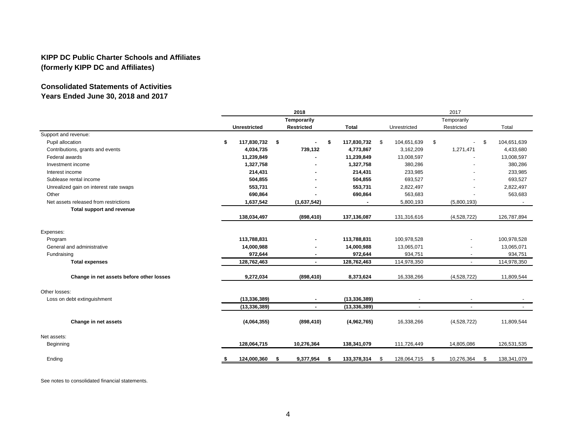# **Consolidated Statements of Activities Years Ended June 30, 2018 and 2017**

|                                          |    | 2018<br>Temporarily |        |                   |  |                |      | 2017         |      |                          |             |  |  |
|------------------------------------------|----|---------------------|--------|-------------------|--|----------------|------|--------------|------|--------------------------|-------------|--|--|
|                                          |    |                     |        |                   |  |                |      | Temporarily  |      |                          |             |  |  |
|                                          |    | <b>Unrestricted</b> |        | <b>Restricted</b> |  | <b>Total</b>   |      | Unrestricted |      | Restricted               | Total       |  |  |
| Support and revenue:                     |    |                     |        |                   |  |                |      |              |      |                          |             |  |  |
| Pupil allocation                         | \$ | 117,830,732         | $\sim$ | \$                |  | 117,830,732    | - \$ | 104,651,639  | \$   | S.                       | 104,651,639 |  |  |
| Contributions, grants and events         |    | 4,034,735           |        | 739,132           |  | 4,773,867      |      | 3,162,209    |      | 1,271,471                | 4,433,680   |  |  |
| Federal awards                           |    | 11,239,849          |        |                   |  | 11,239,849     |      | 13,008,597   |      |                          | 13,008,597  |  |  |
| Investment income                        |    | 1,327,758           |        |                   |  | 1,327,758      |      | 380,286      |      |                          | 380,286     |  |  |
| Interest income                          |    | 214,431             |        |                   |  | 214,431        |      | 233,985      |      |                          | 233,985     |  |  |
| Sublease rental income                   |    | 504,855             |        |                   |  | 504,855        |      | 693,527      |      |                          | 693,527     |  |  |
| Unrealized gain on interest rate swaps   |    | 553,731             |        |                   |  | 553,731        |      | 2,822,497    |      |                          | 2,822,497   |  |  |
| Other                                    |    | 690,864             |        |                   |  | 690,864        |      | 563,683      |      |                          | 563,683     |  |  |
| Net assets released from restrictions    |    | 1,637,542           |        | (1,637,542)       |  |                |      | 5,800,193    |      | (5,800,193)              |             |  |  |
| Total support and revenue                |    |                     |        |                   |  |                |      |              |      |                          |             |  |  |
|                                          |    | 138,034,497         |        | (898, 410)        |  | 137,136,087    |      | 131,316,616  |      | (4,528,722)              | 126,787,894 |  |  |
| Expenses:                                |    |                     |        |                   |  |                |      |              |      |                          |             |  |  |
| Program                                  |    | 113,788,831         |        |                   |  | 113,788,831    |      | 100,978,528  |      | $\blacksquare$           | 100,978,528 |  |  |
| General and administrative               |    | 14,000,988          |        |                   |  | 14,000,988     |      | 13,065,071   |      | $\blacksquare$           | 13,065,071  |  |  |
| Fundraising                              |    | 972,644             |        |                   |  | 972,644        |      | 934,751      |      |                          | 934,751     |  |  |
| <b>Total expenses</b>                    |    | 128,762,463         |        |                   |  | 128,762,463    |      | 114,978,350  |      | ÷.                       | 114,978,350 |  |  |
| Change in net assets before other losses |    | 9,272,034           |        | (898, 410)        |  | 8,373,624      |      | 16,338,266   |      | (4,528,722)              | 11,809,544  |  |  |
| Other losses:                            |    |                     |        |                   |  |                |      |              |      |                          |             |  |  |
| Loss on debt extinguishment              |    | (13, 336, 389)      |        |                   |  | (13, 336, 389) |      |              |      |                          |             |  |  |
|                                          |    | (13, 336, 389)      |        |                   |  | (13, 336, 389) |      |              |      | $\overline{\phantom{a}}$ |             |  |  |
| Change in net assets                     |    | (4,064,355)         |        | (898, 410)        |  | (4,962,765)    |      | 16,338,266   |      | (4,528,722)              | 11,809,544  |  |  |
| Net assets:                              |    |                     |        |                   |  |                |      |              |      |                          |             |  |  |
| Beginning                                |    | 128,064,715         |        | 10,276,364        |  | 138,341,079    |      | 111,726,449  |      | 14,805,086               | 126,531,535 |  |  |
| Ending                                   | \$ | 124,000,360         | - 56   | 9,377,954         |  | 133,378,314    | -S   | 128,064,715  | - \$ | 10,276,364<br>\$         | 138,341,079 |  |  |

See notes to consolidated financial statements.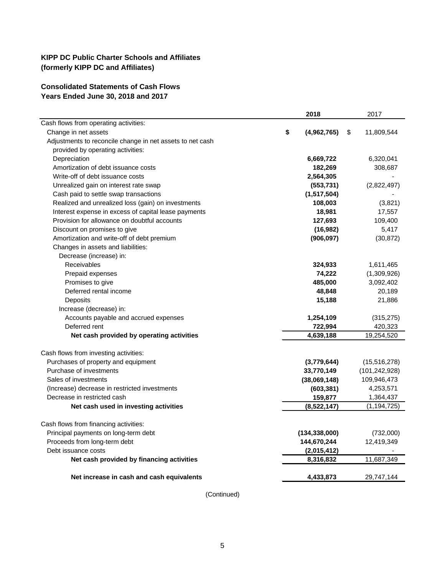#### **Consolidated Statements of Cash Flows Years Ended June 30, 2018 and 2017**

|                                                           | 2018              | 2017             |
|-----------------------------------------------------------|-------------------|------------------|
| Cash flows from operating activities:                     |                   |                  |
| Change in net assets                                      | \$<br>(4,962,765) | \$<br>11,809,544 |
| Adjustments to reconcile change in net assets to net cash |                   |                  |
| provided by operating activities:                         |                   |                  |
| Depreciation                                              | 6,669,722         | 6,320,041        |
| Amortization of debt issuance costs                       | 182,269           | 308,687          |
| Write-off of debt issuance costs                          | 2,564,305         |                  |
| Unrealized gain on interest rate swap                     | (553, 731)        | (2,822,497)      |
| Cash paid to settle swap transactions                     | (1, 517, 504)     |                  |
| Realized and unrealized loss (gain) on investments        | 108,003           | (3,821)          |
| Interest expense in excess of capital lease payments      | 18,981            | 17,557           |
| Provision for allowance on doubtful accounts              | 127,693           | 109,400          |
| Discount on promises to give                              | (16, 982)         | 5,417            |
| Amortization and write-off of debt premium                | (906, 097)        | (30, 872)        |
| Changes in assets and liabilities:                        |                   |                  |
| Decrease (increase) in:                                   |                   |                  |
| <b>Receivables</b>                                        | 324,933           | 1,611,465        |
| Prepaid expenses                                          | 74,222            | (1,309,926)      |
| Promises to give                                          | 485,000           | 3,092,402        |
| Deferred rental income                                    | 48,848            | 20,189           |
| Deposits                                                  | 15,188            | 21,886           |
| Increase (decrease) in:                                   |                   |                  |
| Accounts payable and accrued expenses                     | 1,254,109         | (315, 275)       |
| Deferred rent                                             | 722,994           | 420,323          |
| Net cash provided by operating activities                 | 4,639,188         | 19,254,520       |
| Cash flows from investing activities:                     |                   |                  |
| Purchases of property and equipment                       | (3,779,644)       | (15,516,278)     |
| Purchase of investments                                   | 33,770,149        | (101, 242, 928)  |
| Sales of investments                                      | (38,069,148)      | 109,946,473      |
| (Increase) decrease in restricted investments             | (603, 381)        | 4,253,571        |
| Decrease in restricted cash                               | 159,877           | 1,364,437        |
| Net cash used in investing activities                     | (8,522,147)       | (1, 194, 725)    |
|                                                           |                   |                  |
| Cash flows from financing activities:                     |                   |                  |
| Principal payments on long-term debt                      | (134, 338, 000)   | (732,000)        |
| Proceeds from long-term debt                              | 144,670,244       | 12,419,349       |
| Debt issuance costs                                       | (2,015,412)       |                  |
| Net cash provided by financing activities                 | 8,316,832         | 11,687,349       |
|                                                           |                   |                  |
| Net increase in cash and cash equivalents                 | 4,433,873         | 29,747,144       |

(Continued)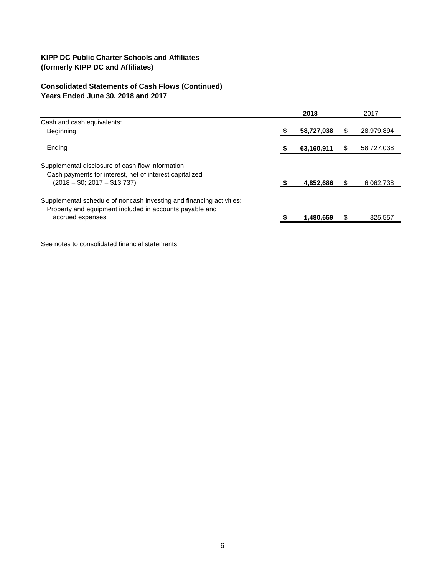# **Consolidated Statements of Cash Flows (Continued) Years Ended June 30, 2018 and 2017**

|                                                                                                                                                     |    | 2018       | 2017       |
|-----------------------------------------------------------------------------------------------------------------------------------------------------|----|------------|------------|
| Cash and cash equivalents:                                                                                                                          |    |            |            |
| Beginning                                                                                                                                           | -5 | 58,727,038 | 28,979,894 |
| Ending                                                                                                                                              |    | 63,160,911 | 58,727,038 |
| Supplemental disclosure of cash flow information:<br>Cash payments for interest, net of interest capitalized<br>$(2018 - $0; 2017 - $13,737)$       |    | 4,852,686  | 6,062,738  |
| Supplemental schedule of noncash investing and financing activities:<br>Property and equipment included in accounts payable and<br>accrued expenses |    | 1,480,659  | 325.557    |
|                                                                                                                                                     |    |            |            |

See notes to consolidated financial statements.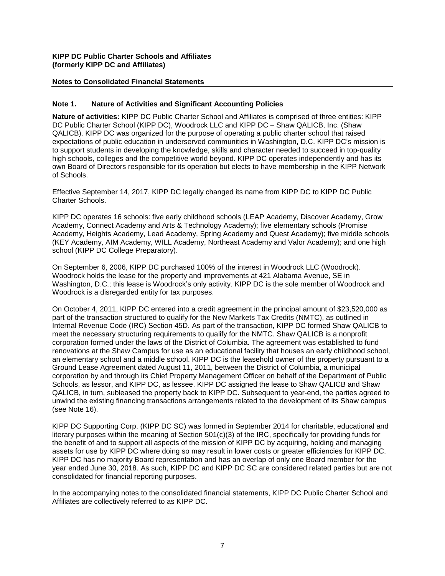#### **Notes to Consolidated Financial Statements**

#### **Note 1. Nature of Activities and Significant Accounting Policies**

**Nature of activities:** KIPP DC Public Charter School and Affiliates is comprised of three entities: KIPP DC Public Charter School (KIPP DC), Woodrock LLC and KIPP DC – Shaw QALICB, Inc. (Shaw QALICB). KIPP DC was organized for the purpose of operating a public charter school that raised expectations of public education in underserved communities in Washington, D.C. KIPP DC's mission is to support students in developing the knowledge, skills and character needed to succeed in top-quality high schools, colleges and the competitive world beyond. KIPP DC operates independently and has its own Board of Directors responsible for its operation but elects to have membership in the KIPP Network of Schools.

Effective September 14, 2017, KIPP DC legally changed its name from KIPP DC to KIPP DC Public Charter Schools.

KIPP DC operates 16 schools: five early childhood schools (LEAP Academy, Discover Academy, Grow Academy, Connect Academy and Arts & Technology Academy); five elementary schools (Promise Academy, Heights Academy, Lead Academy, Spring Academy and Quest Academy); five middle schools (KEY Academy, AIM Academy, WILL Academy, Northeast Academy and Valor Academy); and one high school (KIPP DC College Preparatory).

On September 6, 2006, KIPP DC purchased 100% of the interest in Woodrock LLC (Woodrock). Woodrock holds the lease for the property and improvements at 421 Alabama Avenue, SE in Washington, D.C.; this lease is Woodrock's only activity. KIPP DC is the sole member of Woodrock and Woodrock is a disregarded entity for tax purposes.

On October 4, 2011, KIPP DC entered into a credit agreement in the principal amount of \$23,520,000 as part of the transaction structured to qualify for the New Markets Tax Credits (NMTC), as outlined in Internal Revenue Code (IRC) Section 45D. As part of the transaction, KIPP DC formed Shaw QALICB to meet the necessary structuring requirements to qualify for the NMTC. Shaw QALICB is a nonprofit corporation formed under the laws of the District of Columbia. The agreement was established to fund renovations at the Shaw Campus for use as an educational facility that houses an early childhood school, an elementary school and a middle school. KIPP DC is the leasehold owner of the property pursuant to a Ground Lease Agreement dated August 11, 2011, between the District of Columbia, a municipal corporation by and through its Chief Property Management Officer on behalf of the Department of Public Schools, as lessor, and KIPP DC, as lessee. KIPP DC assigned the lease to Shaw QALICB and Shaw QALICB, in turn, subleased the property back to KIPP DC. Subsequent to year-end, the parties agreed to unwind the existing financing transactions arrangements related to the development of its Shaw campus (see Note 16).

KIPP DC Supporting Corp. (KIPP DC SC) was formed in September 2014 for charitable, educational and literary purposes within the meaning of Section 501(c)(3) of the IRC, specifically for providing funds for the benefit of and to support all aspects of the mission of KIPP DC by acquiring, holding and managing assets for use by KIPP DC where doing so may result in lower costs or greater efficiencies for KIPP DC. KIPP DC has no majority Board representation and has an overlap of only one Board member for the year ended June 30, 2018. As such, KIPP DC and KIPP DC SC are considered related parties but are not consolidated for financial reporting purposes.

In the accompanying notes to the consolidated financial statements, KIPP DC Public Charter School and Affiliates are collectively referred to as KIPP DC.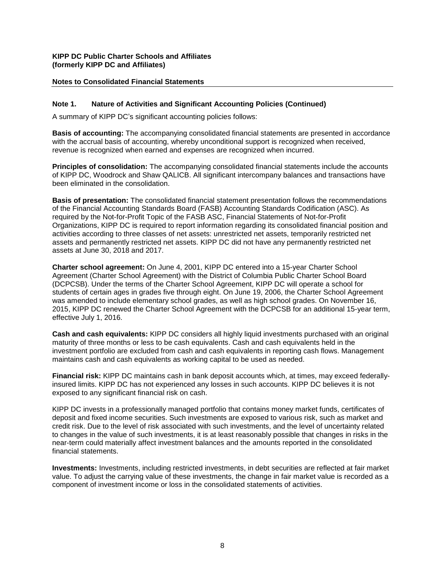#### **Notes to Consolidated Financial Statements**

#### **Note 1. Nature of Activities and Significant Accounting Policies (Continued)**

A summary of KIPP DC's significant accounting policies follows:

**Basis of accounting:** The accompanying consolidated financial statements are presented in accordance with the accrual basis of accounting, whereby unconditional support is recognized when received, revenue is recognized when earned and expenses are recognized when incurred.

**Principles of consolidation:** The accompanying consolidated financial statements include the accounts of KIPP DC, Woodrock and Shaw QALICB. All significant intercompany balances and transactions have been eliminated in the consolidation.

**Basis of presentation:** The consolidated financial statement presentation follows the recommendations of the Financial Accounting Standards Board (FASB) Accounting Standards Codification (ASC). As required by the Not-for-Profit Topic of the FASB ASC, Financial Statements of Not-for-Profit Organizations, KIPP DC is required to report information regarding its consolidated financial position and activities according to three classes of net assets: unrestricted net assets, temporarily restricted net assets and permanently restricted net assets. KIPP DC did not have any permanently restricted net assets at June 30, 2018 and 2017.

**Charter school agreement:** On June 4, 2001, KIPP DC entered into a 15-year Charter School Agreement (Charter School Agreement) with the District of Columbia Public Charter School Board (DCPCSB). Under the terms of the Charter School Agreement, KIPP DC will operate a school for students of certain ages in grades five through eight. On June 19, 2006, the Charter School Agreement was amended to include elementary school grades, as well as high school grades. On November 16, 2015, KIPP DC renewed the Charter School Agreement with the DCPCSB for an additional 15-year term, effective July 1, 2016.

**Cash and cash equivalents:** KIPP DC considers all highly liquid investments purchased with an original maturity of three months or less to be cash equivalents. Cash and cash equivalents held in the investment portfolio are excluded from cash and cash equivalents in reporting cash flows. Management maintains cash and cash equivalents as working capital to be used as needed.

**Financial risk:** KIPP DC maintains cash in bank deposit accounts which, at times, may exceed federallyinsured limits. KIPP DC has not experienced any losses in such accounts. KIPP DC believes it is not exposed to any significant financial risk on cash.

KIPP DC invests in a professionally managed portfolio that contains money market funds, certificates of deposit and fixed income securities. Such investments are exposed to various risk, such as market and credit risk. Due to the level of risk associated with such investments, and the level of uncertainty related to changes in the value of such investments, it is at least reasonably possible that changes in risks in the near-term could materially affect investment balances and the amounts reported in the consolidated financial statements.

**Investments:** Investments, including restricted investments, in debt securities are reflected at fair market value. To adjust the carrying value of these investments, the change in fair market value is recorded as a component of investment income or loss in the consolidated statements of activities.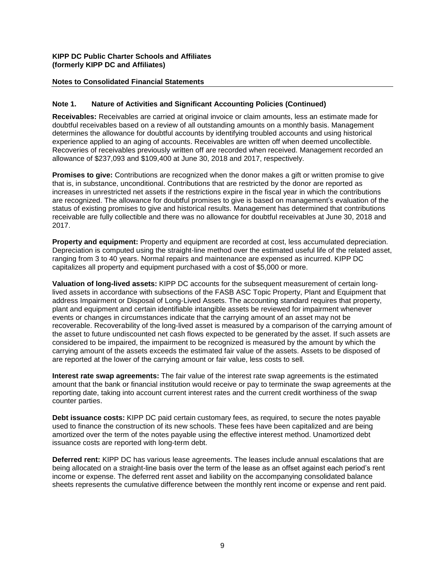#### **Notes to Consolidated Financial Statements**

#### **Note 1. Nature of Activities and Significant Accounting Policies (Continued)**

**Receivables:** Receivables are carried at original invoice or claim amounts, less an estimate made for doubtful receivables based on a review of all outstanding amounts on a monthly basis. Management determines the allowance for doubtful accounts by identifying troubled accounts and using historical experience applied to an aging of accounts. Receivables are written off when deemed uncollectible. Recoveries of receivables previously written off are recorded when received. Management recorded an allowance of \$237,093 and \$109,400 at June 30, 2018 and 2017, respectively.

**Promises to give:** Contributions are recognized when the donor makes a gift or written promise to give that is, in substance, unconditional. Contributions that are restricted by the donor are reported as increases in unrestricted net assets if the restrictions expire in the fiscal year in which the contributions are recognized. The allowance for doubtful promises to give is based on management's evaluation of the status of existing promises to give and historical results. Management has determined that contributions receivable are fully collectible and there was no allowance for doubtful receivables at June 30, 2018 and 2017.

**Property and equipment:** Property and equipment are recorded at cost, less accumulated depreciation. Depreciation is computed using the straight-line method over the estimated useful life of the related asset, ranging from 3 to 40 years. Normal repairs and maintenance are expensed as incurred. KIPP DC capitalizes all property and equipment purchased with a cost of \$5,000 or more.

**Valuation of long-lived assets:** KIPP DC accounts for the subsequent measurement of certain longlived assets in accordance with subsections of the FASB ASC Topic Property, Plant and Equipment that address Impairment or Disposal of Long-Lived Assets. The accounting standard requires that property, plant and equipment and certain identifiable intangible assets be reviewed for impairment whenever events or changes in circumstances indicate that the carrying amount of an asset may not be recoverable. Recoverability of the long-lived asset is measured by a comparison of the carrying amount of the asset to future undiscounted net cash flows expected to be generated by the asset. If such assets are considered to be impaired, the impairment to be recognized is measured by the amount by which the carrying amount of the assets exceeds the estimated fair value of the assets. Assets to be disposed of are reported at the lower of the carrying amount or fair value, less costs to sell.

**Interest rate swap agreements:** The fair value of the interest rate swap agreements is the estimated amount that the bank or financial institution would receive or pay to terminate the swap agreements at the reporting date, taking into account current interest rates and the current credit worthiness of the swap counter parties.

**Debt issuance costs:** KIPP DC paid certain customary fees, as required, to secure the notes payable used to finance the construction of its new schools. These fees have been capitalized and are being amortized over the term of the notes payable using the effective interest method. Unamortized debt issuance costs are reported with long-term debt.

**Deferred rent:** KIPP DC has various lease agreements. The leases include annual escalations that are being allocated on a straight-line basis over the term of the lease as an offset against each period's rent income or expense. The deferred rent asset and liability on the accompanying consolidated balance sheets represents the cumulative difference between the monthly rent income or expense and rent paid.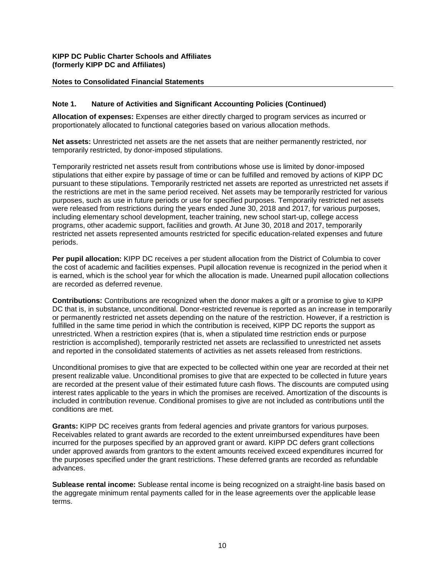#### **Notes to Consolidated Financial Statements**

#### **Note 1. Nature of Activities and Significant Accounting Policies (Continued)**

**Allocation of expenses:** Expenses are either directly charged to program services as incurred or proportionately allocated to functional categories based on various allocation methods.

**Net assets:** Unrestricted net assets are the net assets that are neither permanently restricted, nor temporarily restricted, by donor-imposed stipulations.

Temporarily restricted net assets result from contributions whose use is limited by donor-imposed stipulations that either expire by passage of time or can be fulfilled and removed by actions of KIPP DC pursuant to these stipulations. Temporarily restricted net assets are reported as unrestricted net assets if the restrictions are met in the same period received. Net assets may be temporarily restricted for various purposes, such as use in future periods or use for specified purposes. Temporarily restricted net assets were released from restrictions during the years ended June 30, 2018 and 2017, for various purposes, including elementary school development, teacher training, new school start-up, college access programs, other academic support, facilities and growth. At June 30, 2018 and 2017, temporarily restricted net assets represented amounts restricted for specific education-related expenses and future periods.

**Per pupil allocation:** KIPP DC receives a per student allocation from the District of Columbia to cover the cost of academic and facilities expenses. Pupil allocation revenue is recognized in the period when it is earned, which is the school year for which the allocation is made. Unearned pupil allocation collections are recorded as deferred revenue.

**Contributions:** Contributions are recognized when the donor makes a gift or a promise to give to KIPP DC that is, in substance, unconditional. Donor-restricted revenue is reported as an increase in temporarily or permanently restricted net assets depending on the nature of the restriction. However, if a restriction is fulfilled in the same time period in which the contribution is received, KIPP DC reports the support as unrestricted. When a restriction expires (that is, when a stipulated time restriction ends or purpose restriction is accomplished), temporarily restricted net assets are reclassified to unrestricted net assets and reported in the consolidated statements of activities as net assets released from restrictions.

Unconditional promises to give that are expected to be collected within one year are recorded at their net present realizable value. Unconditional promises to give that are expected to be collected in future years are recorded at the present value of their estimated future cash flows. The discounts are computed using interest rates applicable to the years in which the promises are received. Amortization of the discounts is included in contribution revenue. Conditional promises to give are not included as contributions until the conditions are met.

**Grants:** KIPP DC receives grants from federal agencies and private grantors for various purposes. Receivables related to grant awards are recorded to the extent unreimbursed expenditures have been incurred for the purposes specified by an approved grant or award. KIPP DC defers grant collections under approved awards from grantors to the extent amounts received exceed expenditures incurred for the purposes specified under the grant restrictions. These deferred grants are recorded as refundable advances.

**Sublease rental income:** Sublease rental income is being recognized on a straight-line basis based on the aggregate minimum rental payments called for in the lease agreements over the applicable lease terms.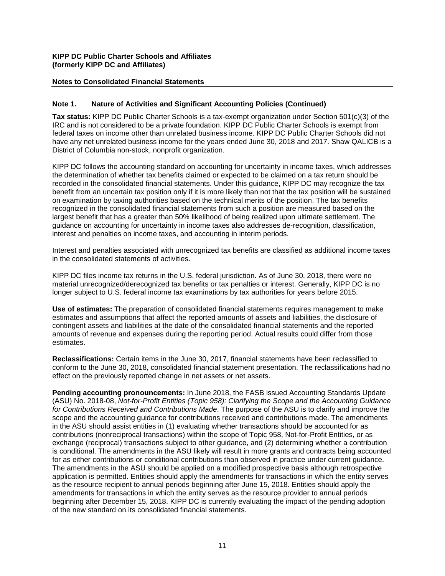## **Notes to Consolidated Financial Statements**

#### **Note 1. Nature of Activities and Significant Accounting Policies (Continued)**

**Tax status:** KIPP DC Public Charter Schools is a tax-exempt organization under Section 501(c)(3) of the IRC and is not considered to be a private foundation. KIPP DC Public Charter Schools is exempt from federal taxes on income other than unrelated business income. KIPP DC Public Charter Schools did not have any net unrelated business income for the years ended June 30, 2018 and 2017. Shaw QALICB is a District of Columbia non-stock, nonprofit organization.

KIPP DC follows the accounting standard on accounting for uncertainty in income taxes, which addresses the determination of whether tax benefits claimed or expected to be claimed on a tax return should be recorded in the consolidated financial statements. Under this guidance, KIPP DC may recognize the tax benefit from an uncertain tax position only if it is more likely than not that the tax position will be sustained on examination by taxing authorities based on the technical merits of the position. The tax benefits recognized in the consolidated financial statements from such a position are measured based on the largest benefit that has a greater than 50% likelihood of being realized upon ultimate settlement. The guidance on accounting for uncertainty in income taxes also addresses de-recognition, classification, interest and penalties on income taxes, and accounting in interim periods.

Interest and penalties associated with unrecognized tax benefits are classified as additional income taxes in the consolidated statements of activities.

KIPP DC files income tax returns in the U.S. federal jurisdiction. As of June 30, 2018, there were no material unrecognized/derecognized tax benefits or tax penalties or interest. Generally, KIPP DC is no longer subject to U.S. federal income tax examinations by tax authorities for years before 2015.

**Use of estimates:** The preparation of consolidated financial statements requires management to make estimates and assumptions that affect the reported amounts of assets and liabilities, the disclosure of contingent assets and liabilities at the date of the consolidated financial statements and the reported amounts of revenue and expenses during the reporting period. Actual results could differ from those estimates.

**Reclassifications:** Certain items in the June 30, 2017, financial statements have been reclassified to conform to the June 30, 2018, consolidated financial statement presentation. The reclassifications had no effect on the previously reported change in net assets or net assets.

**Pending accounting pronouncements:** In June 2018, the FASB issued Accounting Standards Update (ASU) No. 2018-08, *Not-for-Profit Entities (Topic 958): Clarifying the Scope and the Accounting Guidance for Contributions Received and Contributions Made*. The purpose of the ASU is to clarify and improve the scope and the accounting guidance for contributions received and contributions made. The amendments in the ASU should assist entities in (1) evaluating whether transactions should be accounted for as contributions (nonreciprocal transactions) within the scope of Topic 958, Not-for-Profit Entities, or as exchange (reciprocal) transactions subject to other guidance, and (2) determining whether a contribution is conditional. The amendments in the ASU likely will result in more grants and contracts being accounted for as either contributions or conditional contributions than observed in practice under current guidance. The amendments in the ASU should be applied on a modified prospective basis although retrospective application is permitted. Entities should apply the amendments for transactions in which the entity serves as the resource recipient to annual periods beginning after June 15, 2018. Entities should apply the amendments for transactions in which the entity serves as the resource provider to annual periods beginning after December 15, 2018. KIPP DC is currently evaluating the impact of the pending adoption of the new standard on its consolidated financial statements.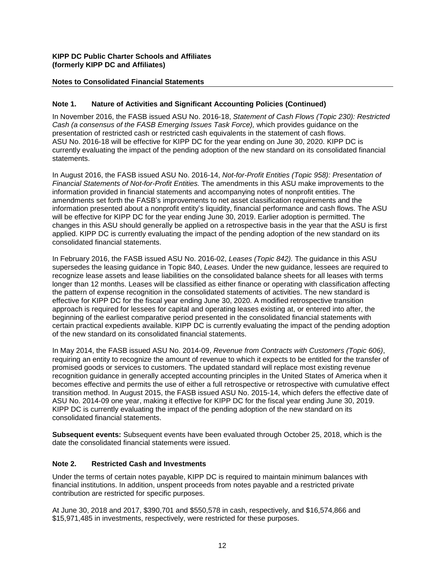## **Notes to Consolidated Financial Statements**

#### **Note 1. Nature of Activities and Significant Accounting Policies (Continued)**

In November 2016, the FASB issued ASU No. 2016-18, *Statement of Cash Flows (Topic 230): Restricted Cash (a consensus of the FASB Emerging Issues Task Force),* which provides guidance on the presentation of restricted cash or restricted cash equivalents in the statement of cash flows. ASU No. 2016-18 will be effective for KIPP DC for the year ending on June 30, 2020. KIPP DC is currently evaluating the impact of the pending adoption of the new standard on its consolidated financial statements.

In August 2016, the FASB issued ASU No. 2016-14, *Not-for-Profit Entities (Topic 958): Presentation of Financial Statements of Not-for-Profit Entities.* The amendments in this ASU make improvements to the information provided in financial statements and accompanying notes of nonprofit entities. The amendments set forth the FASB's improvements to net asset classification requirements and the information presented about a nonprofit entity's liquidity, financial performance and cash flows. The ASU will be effective for KIPP DC for the year ending June 30, 2019. Earlier adoption is permitted. The changes in this ASU should generally be applied on a retrospective basis in the year that the ASU is first applied. KIPP DC is currently evaluating the impact of the pending adoption of the new standard on its consolidated financial statements.

In February 2016, the FASB issued ASU No. 2016-02, *Leases (Topic 842).* The guidance in this ASU supersedes the leasing guidance in Topic 840, *Leases.* Under the new guidance, lessees are required to recognize lease assets and lease liabilities on the consolidated balance sheets for all leases with terms longer than 12 months. Leases will be classified as either finance or operating with classification affecting the pattern of expense recognition in the consolidated statements of activities. The new standard is effective for KIPP DC for the fiscal year ending June 30, 2020. A modified retrospective transition approach is required for lessees for capital and operating leases existing at, or entered into after, the beginning of the earliest comparative period presented in the consolidated financial statements with certain practical expedients available. KIPP DC is currently evaluating the impact of the pending adoption of the new standard on its consolidated financial statements.

In May 2014, the FASB issued ASU No. 2014-09, *Revenue from Contracts with Customers (Topic 606)*, requiring an entity to recognize the amount of revenue to which it expects to be entitled for the transfer of promised goods or services to customers. The updated standard will replace most existing revenue recognition guidance in generally accepted accounting principles in the United States of America when it becomes effective and permits the use of either a full retrospective or retrospective with cumulative effect transition method. In August 2015, the FASB issued ASU No. 2015-14, which defers the effective date of ASU No. 2014-09 one year, making it effective for KIPP DC for the fiscal year ending June 30, 2019. KIPP DC is currently evaluating the impact of the pending adoption of the new standard on its consolidated financial statements.

**Subsequent events:** Subsequent events have been evaluated through October 25, 2018, which is the date the consolidated financial statements were issued.

#### **Note 2. Restricted Cash and Investments**

Under the terms of certain notes payable, KIPP DC is required to maintain minimum balances with financial institutions. In addition, unspent proceeds from notes payable and a restricted private contribution are restricted for specific purposes.

At June 30, 2018 and 2017, \$390,701 and \$550,578 in cash, respectively, and \$16,574,866 and \$15,971,485 in investments, respectively, were restricted for these purposes.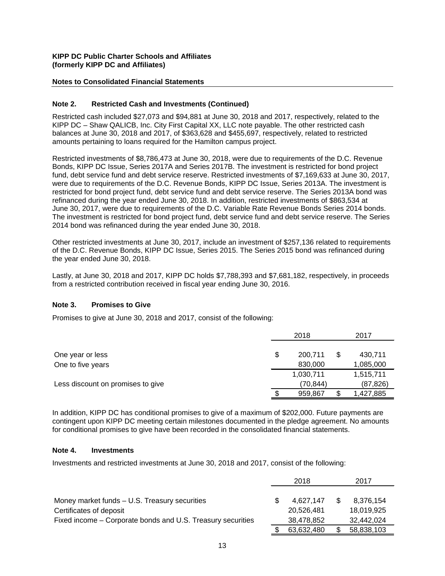#### **Notes to Consolidated Financial Statements**

#### **Note 2. Restricted Cash and Investments (Continued)**

Restricted cash included \$27,073 and \$94,881 at June 30, 2018 and 2017, respectively, related to the KIPP DC – Shaw QALICB, Inc. City First Capital XX, LLC note payable. The other restricted cash balances at June 30, 2018 and 2017, of \$363,628 and \$455,697, respectively, related to restricted amounts pertaining to loans required for the Hamilton campus project.

Restricted investments of \$8,786,473 at June 30, 2018, were due to requirements of the D.C. Revenue Bonds, KIPP DC Issue, Series 2017A and Series 2017B. The investment is restricted for bond project fund, debt service fund and debt service reserve. Restricted investments of \$7,169,633 at June 30, 2017, were due to requirements of the D.C. Revenue Bonds, KIPP DC Issue, Series 2013A. The investment is restricted for bond project fund, debt service fund and debt service reserve. The Series 2013A bond was refinanced during the year ended June 30, 2018. In addition, restricted investments of \$863,534 at June 30, 2017, were due to requirements of the D.C. Variable Rate Revenue Bonds Series 2014 bonds. The investment is restricted for bond project fund, debt service fund and debt service reserve. The Series 2014 bond was refinanced during the year ended June 30, 2018.

Other restricted investments at June 30, 2017, include an investment of \$257,136 related to requirements of the D.C. Revenue Bonds, KIPP DC Issue, Series 2015. The Series 2015 bond was refinanced during the year ended June 30, 2018.

Lastly, at June 30, 2018 and 2017, KIPP DC holds \$7,788,393 and \$7,681,182, respectively, in proceeds from a restricted contribution received in fiscal year ending June 30, 2016.

#### **Note 3. Promises to Give**

Promises to give at June 30, 2018 and 2017, consist of the following:

|                                   |   | 2018      | 2017            |
|-----------------------------------|---|-----------|-----------------|
| One year or less                  | S | 200,711   | \$<br>430,711   |
| One to five years                 |   | 830,000   | 1,085,000       |
|                                   |   | 1,030,711 | 1,515,711       |
| Less discount on promises to give |   | (70.844)  | (87,826)        |
|                                   |   | 959,867   | \$<br>1,427,885 |

In addition, KIPP DC has conditional promises to give of a maximum of \$202,000. Future payments are contingent upon KIPP DC meeting certain milestones documented in the pledge agreement. No amounts for conditional promises to give have been recorded in the consolidated financial statements.

#### **Note 4. Investments**

Investments and restricted investments at June 30, 2018 and 2017, consist of the following:

|                                                             | 2018       |  | 2017       |
|-------------------------------------------------------------|------------|--|------------|
|                                                             |            |  |            |
| Money market funds - U.S. Treasury securities               | 4.627.147  |  | 8.376.154  |
| Certificates of deposit                                     | 20.526.481 |  | 18.019.925 |
| Fixed income – Corporate bonds and U.S. Treasury securities | 38,478,852 |  | 32,442,024 |
|                                                             | 63,632,480 |  | 58,838,103 |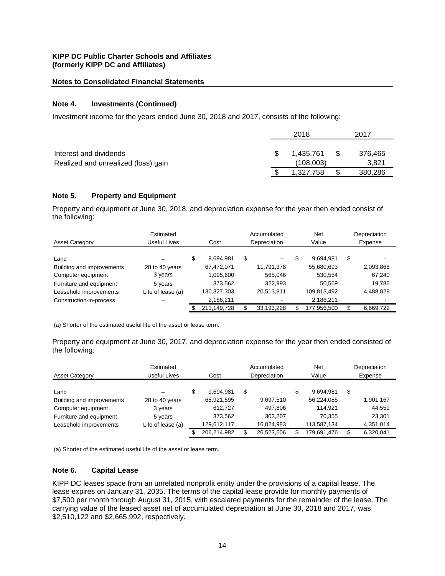#### **Notes to Consolidated Financial Statements**

#### **Note 4. Investments (Continued)**

Investment income for the years ended June 30, 2018 and 2017, consists of the following:

|                                                               | 2018 |                        |     | 2017             |  |
|---------------------------------------------------------------|------|------------------------|-----|------------------|--|
| Interest and dividends<br>Realized and unrealized (loss) gain |      | 1.435.761<br>(108,003) | -SS | 376,465<br>3,821 |  |
|                                                               |      | 1,327,758              |     | 380,286          |  |

#### **Note 5. Property and Equipment**

Property and equipment at June 30, 2018, and depreciation expense for the year then ended consist of the following:

| <b>Asset Category</b>     | Estimated<br>Useful Lives | Cost            | Accumulated<br>Depreciation | <b>Net</b><br>Value | Depreciation<br>Expense  |
|---------------------------|---------------------------|-----------------|-----------------------------|---------------------|--------------------------|
| Land                      |                           | \$<br>9,694,981 | \$<br>$\blacksquare$        | 9.694.981           | \$                       |
| Building and improvements | 28 to 40 years            | 67,472,071      | 11,791,378                  | 55,680,693          | 2,093,868                |
| Computer equipment        | 3 years                   | 1,095,600       | 565,046                     | 530,554             | 67,240                   |
| Furniture and equipment   | 5 years                   | 373,562         | 322.993                     | 50.569              | 19.786                   |
| Leasehold improvements    | Life of lease (a)         | 130,327,303     | 20,513,811                  | 109,813,492         | 4,488,828                |
| Construction-in-process   |                           | 2,186,211       |                             | 2,186,211           | $\overline{\phantom{a}}$ |
|                           |                           | 211,149,728     | 33,193,228                  | 177,956,500         | 6,669,722                |

(a) Shorter of the estimated useful life of the asset or lease term.

Property and equipment at June 30, 2017, and depreciation expense for the year then ended consisted of the following:

| <b>Asset Category</b>     | Estimated<br>Useful Lives | Cost            | Accumulated<br>Depreciation | Net<br>Value | Depreciation<br>Expense |
|---------------------------|---------------------------|-----------------|-----------------------------|--------------|-------------------------|
| Land                      |                           | \$<br>9,694,981 | \$<br>$\sim$                | 9.694.981    | \$                      |
| Building and improvements | 28 to 40 years            | 65,921,595      | 9,697,510                   | 56,224,085   | 1,901,167               |
| Computer equipment        | 3 years                   | 612.727         | 497,806                     | 114.921      | 44,559                  |
| Furniture and equipment   | 5 years                   | 373,562         | 303,207                     | 70.355       | 23,301                  |
| Leasehold improvements    | Life of lease (a)         | 129,612,117     | 16,024,983                  | 113,587,134  | 4,351,014               |
|                           |                           | 206,214,982     | 26,523,506                  | 179,691,476  | 6,320,041               |

(a) Shorter of the estimated useful life of the asset or lease term.

#### **Note 6. Capital Lease**

KIPP DC leases space from an unrelated nonprofit entity under the provisions of a capital lease. The lease expires on January 31, 2035. The terms of the capital lease provide for monthly payments of \$7,500 per month through August 31, 2015, with escalated payments for the remainder of the lease. The carrying value of the leased asset net of accumulated depreciation at June 30, 2018 and 2017, was \$2,510,122 and \$2,665,992, respectively.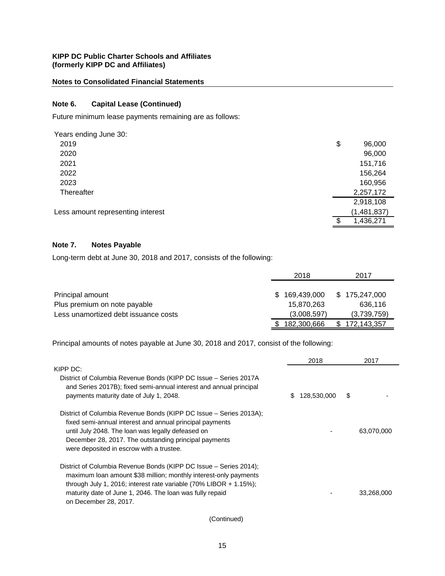## **Notes to Consolidated Financial Statements**

## **Note 6. Capital Lease (Continued)**

Future minimum lease payments remaining are as follows:

| Years ending June 30:             |                 |
|-----------------------------------|-----------------|
| 2019                              | \$<br>96,000    |
| 2020                              | 96,000          |
| 2021                              | 151,716         |
| 2022                              | 156,264         |
| 2023                              | 160,956         |
| Thereafter                        | 2,257,172       |
|                                   | 2,918,108       |
| Less amount representing interest | (1,481,837)     |
|                                   | \$<br>1,436,271 |

# **Note 7. Notes Payable**

Long-term debt at June 30, 2018 and 2017, consists of the following:

|                                      | 2018              | 2017              |
|--------------------------------------|-------------------|-------------------|
|                                      |                   |                   |
| Principal amount                     | 169,439,000<br>S. | \$175,247,000     |
| Plus premium on note payable         | 15,870,263        | 636.116           |
| Less unamortized debt issuance costs | (3,008,597)       | (3,739,759)       |
|                                      | 182,300,666       | 172,143,357<br>S. |

Principal amounts of notes payable at June 30, 2018 and 2017, consist of the following:

|                                                                                                                                                                                   | 2018              | 2017       |
|-----------------------------------------------------------------------------------------------------------------------------------------------------------------------------------|-------------------|------------|
| KIPP DC:                                                                                                                                                                          |                   |            |
| District of Columbia Revenue Bonds (KIPP DC Issue - Series 2017A<br>and Series 2017B); fixed semi-annual interest and annual principal<br>payments maturity date of July 1, 2048. | \$<br>128,530,000 | \$         |
| District of Columbia Revenue Bonds (KIPP DC Issue – Series 2013A);                                                                                                                |                   |            |
| fixed semi-annual interest and annual principal payments                                                                                                                          |                   |            |
| until July 2048. The loan was legally defeased on                                                                                                                                 |                   | 63,070,000 |
| December 28, 2017. The outstanding principal payments                                                                                                                             |                   |            |
| were deposited in escrow with a trustee.                                                                                                                                          |                   |            |
| District of Columbia Revenue Bonds (KIPP DC Issue - Series 2014);                                                                                                                 |                   |            |
| maximum loan amount \$38 million; monthly interest-only payments                                                                                                                  |                   |            |
| through July 1, 2016; interest rate variable $(70\%$ LIBOR + 1.15%);                                                                                                              |                   |            |
| maturity date of June 1, 2046. The loan was fully repaid                                                                                                                          |                   | 33,268,000 |
| on December 28, 2017.                                                                                                                                                             |                   |            |

(Continued)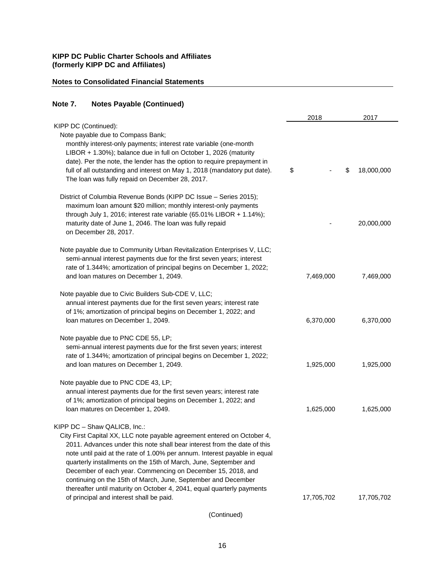## **Notes to Consolidated Financial Statements**

# **Note 7. Notes Payable (Continued)**

|                                                                                                                                                                                                                                                                                                                                                                                                                                                                                                                                                                                            | 2018       | 2017             |
|--------------------------------------------------------------------------------------------------------------------------------------------------------------------------------------------------------------------------------------------------------------------------------------------------------------------------------------------------------------------------------------------------------------------------------------------------------------------------------------------------------------------------------------------------------------------------------------------|------------|------------------|
| KIPP DC (Continued):<br>Note payable due to Compass Bank;<br>monthly interest-only payments; interest rate variable (one-month<br>LIBOR + 1.30%); balance due in full on October 1, 2026 (maturity<br>date). Per the note, the lender has the option to require prepayment in<br>full of all outstanding and interest on May 1, 2018 (mandatory put date).<br>The loan was fully repaid on December 28, 2017.                                                                                                                                                                              | \$         | \$<br>18,000,000 |
| District of Columbia Revenue Bonds (KIPP DC Issue - Series 2015);<br>maximum loan amount \$20 million; monthly interest-only payments<br>through July 1, 2016; interest rate variable (65.01% LIBOR + 1.14%);<br>maturity date of June 1, 2046. The loan was fully repaid<br>on December 28, 2017.                                                                                                                                                                                                                                                                                         |            | 20,000,000       |
| Note payable due to Community Urban Revitalization Enterprises V, LLC;<br>semi-annual interest payments due for the first seven years; interest<br>rate of 1.344%; amortization of principal begins on December 1, 2022;<br>and loan matures on December 1, 2049.                                                                                                                                                                                                                                                                                                                          | 7,469,000  | 7,469,000        |
| Note payable due to Civic Builders Sub-CDE V, LLC;<br>annual interest payments due for the first seven years; interest rate<br>of 1%; amortization of principal begins on December 1, 2022; and<br>loan matures on December 1, 2049.                                                                                                                                                                                                                                                                                                                                                       | 6,370,000  | 6,370,000        |
| Note payable due to PNC CDE 55, LP;<br>semi-annual interest payments due for the first seven years; interest<br>rate of 1.344%; amortization of principal begins on December 1, 2022;<br>and loan matures on December 1, 2049.                                                                                                                                                                                                                                                                                                                                                             | 1,925,000  | 1,925,000        |
| Note payable due to PNC CDE 43, LP;<br>annual interest payments due for the first seven years; interest rate<br>of 1%; amortization of principal begins on December 1, 2022; and<br>loan matures on December 1, 2049.                                                                                                                                                                                                                                                                                                                                                                      | 1,625,000  | 1,625,000        |
| KIPP DC - Shaw QALICB, Inc.:<br>City First Capital XX, LLC note payable agreement entered on October 4,<br>2011. Advances under this note shall bear interest from the date of this<br>note until paid at the rate of 1.00% per annum. Interest payable in equal<br>quarterly installments on the 15th of March, June, September and<br>December of each year. Commencing on December 15, 2018, and<br>continuing on the 15th of March, June, September and December<br>thereafter until maturity on October 4, 2041, equal quarterly payments<br>of principal and interest shall be paid. | 17,705,702 | 17,705,702       |
|                                                                                                                                                                                                                                                                                                                                                                                                                                                                                                                                                                                            |            |                  |

(Continued)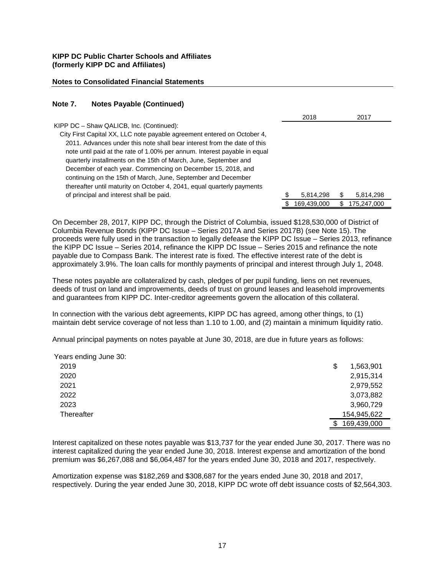#### **Notes to Consolidated Financial Statements**

#### **Note 7. Notes Payable (Continued)**

|                                                                           | 2018        |    | 2017        |
|---------------------------------------------------------------------------|-------------|----|-------------|
| KIPP DC - Shaw QALICB, Inc. (Continued):                                  |             |    |             |
| City First Capital XX, LLC note payable agreement entered on October 4,   |             |    |             |
| 2011. Advances under this note shall bear interest from the date of this  |             |    |             |
| note until paid at the rate of 1.00% per annum. Interest payable in equal |             |    |             |
| quarterly installments on the 15th of March, June, September and          |             |    |             |
| December of each year. Commencing on December 15, 2018, and               |             |    |             |
| continuing on the 15th of March, June, September and December             |             |    |             |
| thereafter until maturity on October 4, 2041, equal quarterly payments    |             |    |             |
| of principal and interest shall be paid.                                  | 5,814,298   | \$ | 5,814,298   |
|                                                                           | 169,439,000 | S. | 175.247.000 |

On December 28, 2017, KIPP DC, through the District of Columbia, issued \$128,530,000 of District of Columbia Revenue Bonds (KIPP DC Issue – Series 2017A and Series 2017B) (see Note 15). The proceeds were fully used in the transaction to legally defease the KIPP DC Issue – Series 2013, refinance the KIPP DC Issue – Series 2014, refinance the KIPP DC Issue – Series 2015 and refinance the note payable due to Compass Bank. The interest rate is fixed. The effective interest rate of the debt is approximately 3.9%. The loan calls for monthly payments of principal and interest through July 1, 2048.

These notes payable are collateralized by cash, pledges of per pupil funding, liens on net revenues, deeds of trust on land and improvements, deeds of trust on ground leases and leasehold improvements and guarantees from KIPP DC. Inter-creditor agreements govern the allocation of this collateral.

In connection with the various debt agreements, KIPP DC has agreed, among other things, to (1) maintain debt service coverage of not less than 1.10 to 1.00, and (2) maintain a minimum liquidity ratio.

Annual principal payments on notes payable at June 30, 2018, are due in future years as follows:

| Years ending June 30: |                  |
|-----------------------|------------------|
| 2019                  | \$<br>1,563,901  |
| 2020                  | 2,915,314        |
| 2021                  | 2,979,552        |
| 2022                  | 3,073,882        |
| 2023                  | 3,960,729        |
| Thereafter            | 154,945,622      |
|                       | 169,439,000<br>S |

Interest capitalized on these notes payable was \$13,737 for the year ended June 30, 2017. There was no interest capitalized during the year ended June 30, 2018. Interest expense and amortization of the bond premium was \$6,267,088 and \$6,064,487 for the years ended June 30, 2018 and 2017, respectively.

Amortization expense was \$182,269 and \$308,687 for the years ended June 30, 2018 and 2017, respectively. During the year ended June 30, 2018, KIPP DC wrote off debt issuance costs of \$2,564,303.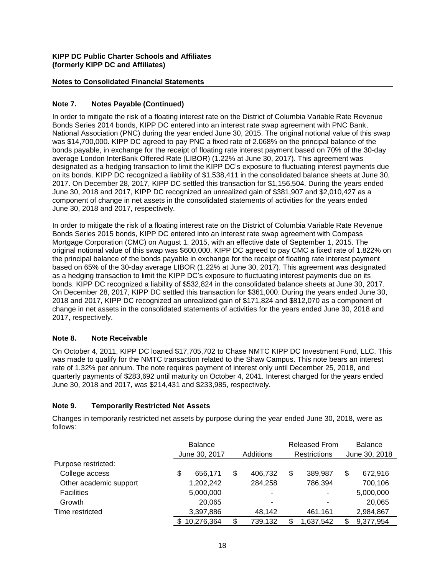## **Notes to Consolidated Financial Statements**

## **Note 7. Notes Payable (Continued)**

In order to mitigate the risk of a floating interest rate on the District of Columbia Variable Rate Revenue Bonds Series 2014 bonds, KIPP DC entered into an interest rate swap agreement with PNC Bank, National Association (PNC) during the year ended June 30, 2015. The original notional value of this swap was \$14,700,000. KIPP DC agreed to pay PNC a fixed rate of 2.068% on the principal balance of the bonds payable, in exchange for the receipt of floating rate interest payment based on 70% of the 30-day average London InterBank Offered Rate (LIBOR) (1.22% at June 30, 2017). This agreement was designated as a hedging transaction to limit the KIPP DC's exposure to fluctuating interest payments due on its bonds. KIPP DC recognized a liability of \$1,538,411 in the consolidated balance sheets at June 30, 2017. On December 28, 2017, KIPP DC settled this transaction for \$1,156,504. During the years ended June 30, 2018 and 2017, KIPP DC recognized an unrealized gain of \$381,907 and \$2,010,427 as a component of change in net assets in the consolidated statements of activities for the years ended June 30, 2018 and 2017, respectively.

In order to mitigate the risk of a floating interest rate on the District of Columbia Variable Rate Revenue Bonds Series 2015 bonds, KIPP DC entered into an interest rate swap agreement with Compass Mortgage Corporation (CMC) on August 1, 2015, with an effective date of September 1, 2015. The original notional value of this swap was \$600,000. KIPP DC agreed to pay CMC a fixed rate of 1.822% on the principal balance of the bonds payable in exchange for the receipt of floating rate interest payment based on 65% of the 30-day average LIBOR (1.22% at June 30, 2017). This agreement was designated as a hedging transaction to limit the KIPP DC's exposure to fluctuating interest payments due on its bonds. KIPP DC recognized a liability of \$532,824 in the consolidated balance sheets at June 30, 2017. On December 28, 2017, KIPP DC settled this transaction for \$361,000. During the years ended June 30, 2018 and 2017, KIPP DC recognized an unrealized gain of \$171,824 and \$812,070 as a component of change in net assets in the consolidated statements of activities for the years ended June 30, 2018 and 2017, respectively.

## **Note 8. Note Receivable**

On October 4, 2011, KIPP DC loaned \$17,705,702 to Chase NMTC KIPP DC Investment Fund, LLC. This was made to qualify for the NMTC transaction related to the Shaw Campus. This note bears an interest rate of 1.32% per annum. The note requires payment of interest only until December 25, 2018, and quarterly payments of \$283,692 until maturity on October 4, 2041. Interest charged for the years ended June 30, 2018 and 2017, was \$214,431 and \$233,985, respectively.

## **Note 9. Temporarily Restricted Net Assets**

Changes in temporarily restricted net assets by purpose during the year ended June 30, 2018, were as follows:

|                        |    | <b>Balance</b> |    |                |    | <b>Released From</b>     | <b>Balance</b> |           |  |
|------------------------|----|----------------|----|----------------|----|--------------------------|----------------|-----------|--|
|                        |    | June 30, 2017  |    | Additions      |    | Restrictions             | June 30, 2018  |           |  |
| Purpose restricted:    |    |                |    |                |    |                          |                |           |  |
| College access         | \$ | 656.171        | \$ | 406.732        | \$ | 389.987                  | \$             | 672,916   |  |
| Other academic support |    | 1,202,242      |    | 284,258        |    | 786,394                  |                | 700,106   |  |
| <b>Facilities</b>      |    | 5,000,000      |    | $\blacksquare$ |    | $\overline{\phantom{0}}$ |                | 5,000,000 |  |
| Growth                 |    | 20,065         |    | ۰              |    |                          |                | 20,065    |  |
| Time restricted        |    | 3,397,886      |    | 48,142         |    | 461,161                  |                | 2,984,867 |  |
|                        | S. | 10,276,364     | \$ | 739,132        |    | 1,637,542                | S              | 9,377,954 |  |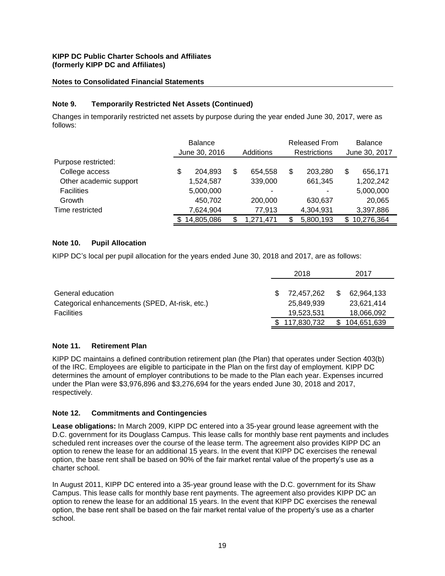## **Notes to Consolidated Financial Statements**

## **Note 9. Temporarily Restricted Net Assets (Continued)**

Changes in temporarily restricted net assets by purpose during the year ended June 30, 2017, were as follows:

|                        | <b>Balance</b><br>June 30, 2016 |    | Additions | <b>Released From</b><br><b>Restrictions</b> |           |     | <b>Balance</b><br>June 30, 2017 |  |  |
|------------------------|---------------------------------|----|-----------|---------------------------------------------|-----------|-----|---------------------------------|--|--|
| Purpose restricted:    |                                 |    |           |                                             |           |     |                                 |  |  |
| College access         | \$<br>204,893                   | \$ | 654,558   | \$                                          | 203,280   | \$  | 656,171                         |  |  |
| Other academic support | 1,524,587                       |    | 339,000   |                                             | 661,345   |     | 1,202,242                       |  |  |
| <b>Facilities</b>      | 5,000,000                       |    |           |                                             |           |     | 5,000,000                       |  |  |
| Growth                 | 450,702                         |    | 200,000   |                                             | 630,637   |     | 20,065                          |  |  |
| Time restricted        | 7,624,904                       |    | 77,913    |                                             | 4,304,931 |     | 3,397,886                       |  |  |
|                        | 14,805,086                      |    | .271.471  |                                             | 5,800,193 | \$. | 10,276,364                      |  |  |

## **Note 10. Pupil Allocation**

KIPP DC's local per pupil allocation for the years ended June 30, 2018 and 2017, are as follows:

|                                                | 2018          |    | 2017        |
|------------------------------------------------|---------------|----|-------------|
| General education                              | 72,457,262    | S  | 62,964,133  |
| Categorical enhancements (SPED, At-risk, etc.) | 25,849,939    |    | 23,621,414  |
| <b>Facilities</b>                              | 19,523,531    |    | 18,066,092  |
|                                                | \$117,830,732 | \$ | 104,651,639 |

## **Note 11. Retirement Plan**

KIPP DC maintains a defined contribution retirement plan (the Plan) that operates under Section 403(b) of the IRC. Employees are eligible to participate in the Plan on the first day of employment. KIPP DC determines the amount of employer contributions to be made to the Plan each year. Expenses incurred under the Plan were \$3,976,896 and \$3,276,694 for the years ended June 30, 2018 and 2017, respectively.

## **Note 12. Commitments and Contingencies**

**Lease obligations:** In March 2009, KIPP DC entered into a 35-year ground lease agreement with the D.C. government for its Douglass Campus. This lease calls for monthly base rent payments and includes scheduled rent increases over the course of the lease term. The agreement also provides KIPP DC an option to renew the lease for an additional 15 years. In the event that KIPP DC exercises the renewal option, the base rent shall be based on 90% of the fair market rental value of the property's use as a charter school.

In August 2011, KIPP DC entered into a 35-year ground lease with the D.C. government for its Shaw Campus. This lease calls for monthly base rent payments. The agreement also provides KIPP DC an option to renew the lease for an additional 15 years. In the event that KIPP DC exercises the renewal option, the base rent shall be based on the fair market rental value of the property's use as a charter school.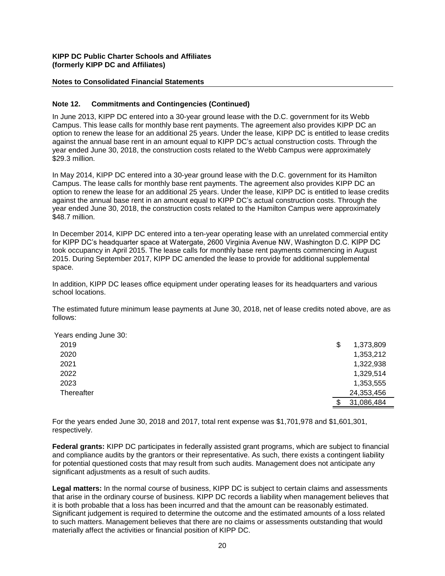#### **Notes to Consolidated Financial Statements**

#### **Note 12. Commitments and Contingencies (Continued)**

In June 2013, KIPP DC entered into a 30-year ground lease with the D.C. government for its Webb Campus. This lease calls for monthly base rent payments. The agreement also provides KIPP DC an option to renew the lease for an additional 25 years. Under the lease, KIPP DC is entitled to lease credits against the annual base rent in an amount equal to KIPP DC's actual construction costs. Through the year ended June 30, 2018, the construction costs related to the Webb Campus were approximately \$29.3 million.

In May 2014, KIPP DC entered into a 30-year ground lease with the D.C. government for its Hamilton Campus. The lease calls for monthly base rent payments. The agreement also provides KIPP DC an option to renew the lease for an additional 25 years. Under the lease, KIPP DC is entitled to lease credits against the annual base rent in an amount equal to KIPP DC's actual construction costs. Through the year ended June 30, 2018, the construction costs related to the Hamilton Campus were approximately \$48.7 million.

In December 2014, KIPP DC entered into a ten-year operating lease with an unrelated commercial entity for KIPP DC's headquarter space at Watergate, 2600 Virginia Avenue NW, Washington D.C. KIPP DC took occupancy in April 2015. The lease calls for monthly base rent payments commencing in August 2015. During September 2017, KIPP DC amended the lease to provide for additional supplemental space.

In addition, KIPP DC leases office equipment under operating leases for its headquarters and various school locations.

The estimated future minimum lease payments at June 30, 2018, net of lease credits noted above, are as follows:

| Years ending June 30: |                |
|-----------------------|----------------|
| 2019                  | 1,373,809<br>S |
| 2020                  | 1,353,212      |
| 2021                  | 1,322,938      |
| 2022                  | 1,329,514      |
| 2023                  | 1,353,555      |
| Thereafter            | 24,353,456     |
|                       | 31,086,484     |

For the years ended June 30, 2018 and 2017, total rent expense was \$1,701,978 and \$1,601,301, respectively.

**Federal grants:** KIPP DC participates in federally assisted grant programs, which are subject to financial and compliance audits by the grantors or their representative. As such, there exists a contingent liability for potential questioned costs that may result from such audits. Management does not anticipate any significant adjustments as a result of such audits.

**Legal matters:** In the normal course of business, KIPP DC is subject to certain claims and assessments that arise in the ordinary course of business. KIPP DC records a liability when management believes that it is both probable that a loss has been incurred and that the amount can be reasonably estimated. Significant judgement is required to determine the outcome and the estimated amounts of a loss related to such matters. Management believes that there are no claims or assessments outstanding that would materially affect the activities or financial position of KIPP DC.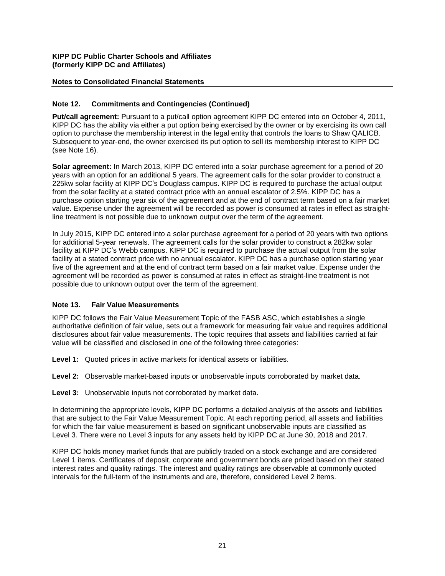## **Notes to Consolidated Financial Statements**

## **Note 12. Commitments and Contingencies (Continued)**

**Put/call agreement:** Pursuant to a put/call option agreement KIPP DC entered into on October 4, 2011, KIPP DC has the ability via either a put option being exercised by the owner or by exercising its own call option to purchase the membership interest in the legal entity that controls the loans to Shaw QALICB. Subsequent to year-end, the owner exercised its put option to sell its membership interest to KIPP DC (see Note 16).

**Solar agreement:** In March 2013, KIPP DC entered into a solar purchase agreement for a period of 20 years with an option for an additional 5 years. The agreement calls for the solar provider to construct a 225kw solar facility at KIPP DC's Douglass campus. KIPP DC is required to purchase the actual output from the solar facility at a stated contract price with an annual escalator of 2.5%. KIPP DC has a purchase option starting year six of the agreement and at the end of contract term based on a fair market value. Expense under the agreement will be recorded as power is consumed at rates in effect as straightline treatment is not possible due to unknown output over the term of the agreement.

In July 2015, KIPP DC entered into a solar purchase agreement for a period of 20 years with two options for additional 5-year renewals. The agreement calls for the solar provider to construct a 282kw solar facility at KIPP DC's Webb campus. KIPP DC is required to purchase the actual output from the solar facility at a stated contract price with no annual escalator. KIPP DC has a purchase option starting year five of the agreement and at the end of contract term based on a fair market value. Expense under the agreement will be recorded as power is consumed at rates in effect as straight-line treatment is not possible due to unknown output over the term of the agreement.

## **Note 13. Fair Value Measurements**

KIPP DC follows the Fair Value Measurement Topic of the FASB ASC, which establishes a single authoritative definition of fair value, sets out a framework for measuring fair value and requires additional disclosures about fair value measurements. The topic requires that assets and liabilities carried at fair value will be classified and disclosed in one of the following three categories:

**Level 1:** Quoted prices in active markets for identical assets or liabilities.

**Level 2:** Observable market-based inputs or unobservable inputs corroborated by market data.

**Level 3:** Unobservable inputs not corroborated by market data.

In determining the appropriate levels, KIPP DC performs a detailed analysis of the assets and liabilities that are subject to the Fair Value Measurement Topic. At each reporting period, all assets and liabilities for which the fair value measurement is based on significant unobservable inputs are classified as Level 3. There were no Level 3 inputs for any assets held by KIPP DC at June 30, 2018 and 2017.

KIPP DC holds money market funds that are publicly traded on a stock exchange and are considered Level 1 items. Certificates of deposit, corporate and government bonds are priced based on their stated interest rates and quality ratings. The interest and quality ratings are observable at commonly quoted intervals for the full-term of the instruments and are, therefore, considered Level 2 items.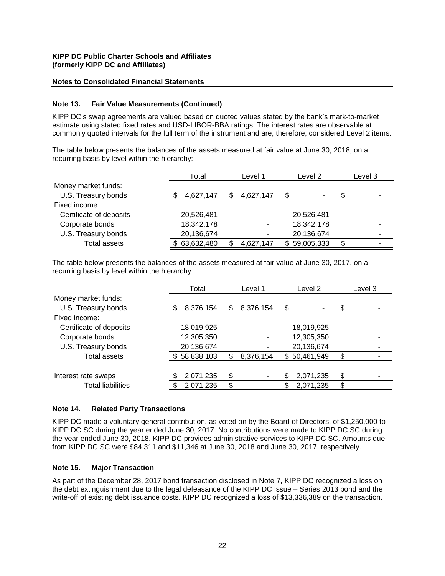#### **Notes to Consolidated Financial Statements**

#### **Note 13. Fair Value Measurements (Continued)**

KIPP DC's swap agreements are valued based on quoted values stated by the bank's mark-to-market estimate using stated fixed rates and USD-LIBOR-BBA ratings. The interest rates are observable at commonly quoted intervals for the full term of the instrument and are, therefore, considered Level 2 items.

The table below presents the balances of the assets measured at fair value at June 30, 2018, on a recurring basis by level within the hierarchy:

|                         | Total            | Level 1          | Level 2           | Level 3 |  |
|-------------------------|------------------|------------------|-------------------|---------|--|
| Money market funds:     |                  |                  |                   |         |  |
| U.S. Treasury bonds     | 4,627,147<br>\$. | 4,627,147<br>\$. | \$<br>۰           | \$      |  |
| Fixed income:           |                  |                  |                   |         |  |
| Certificate of deposits | 20,526,481       |                  | 20,526,481        |         |  |
| Corporate bonds         | 18,342,178       |                  | 18,342,178        |         |  |
| U.S. Treasury bonds     | 20,136,674       |                  | 20,136,674        |         |  |
| <b>Total assets</b>     | 63,632,480       | 4,627,147        | 59,005,333<br>\$. | \$      |  |

The table below presents the balances of the assets measured at fair value at June 30, 2017, on a recurring basis by level within the hierarchy:

| Total                  | Level 1 | Level 2         | Level 3                |  |  |
|------------------------|---------|-----------------|------------------------|--|--|
|                        |         |                 |                        |  |  |
| 8,376,154<br>\$.       | \$.     | \$              | \$                     |  |  |
|                        |         |                 |                        |  |  |
| 18,019,925             |         | 18,019,925      |                        |  |  |
| 12,305,350             |         | 12,305,350      |                        |  |  |
| 20,136,674             |         | 20,136,674      |                        |  |  |
| 58,838,103<br><b>S</b> |         | \$50,461,949    | \$                     |  |  |
|                        |         |                 |                        |  |  |
| 2,071,235              | \$<br>۰ | 2,071,235<br>\$ | \$                     |  |  |
| 2,071,235              |         | 2,071,235       | \$.                    |  |  |
|                        |         |                 | 8,376,154<br>8,376,154 |  |  |

#### **Note 14. Related Party Transactions**

KIPP DC made a voluntary general contribution, as voted on by the Board of Directors, of \$1,250,000 to KIPP DC SC during the year ended June 30, 2017. No contributions were made to KIPP DC SC during the year ended June 30, 2018. KIPP DC provides administrative services to KIPP DC SC. Amounts due from KIPP DC SC were \$84,311 and \$11,346 at June 30, 2018 and June 30, 2017, respectively.

#### **Note 15. Major Transaction**

As part of the December 28, 2017 bond transaction disclosed in Note 7, KIPP DC recognized a loss on the debt extinguishment due to the legal defeasance of the KIPP DC Issue – Series 2013 bond and the write-off of existing debt issuance costs. KIPP DC recognized a loss of \$13,336,389 on the transaction.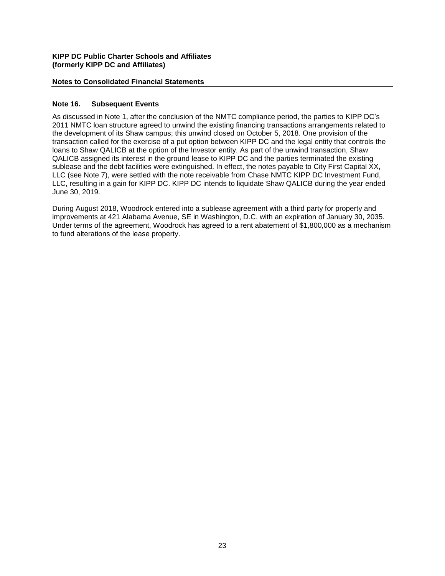#### **Notes to Consolidated Financial Statements**

#### **Note 16. Subsequent Events**

As discussed in Note 1, after the conclusion of the NMTC compliance period, the parties to KIPP DC's 2011 NMTC loan structure agreed to unwind the existing financing transactions arrangements related to the development of its Shaw campus; this unwind closed on October 5, 2018. One provision of the transaction called for the exercise of a put option between KIPP DC and the legal entity that controls the loans to Shaw QALICB at the option of the Investor entity. As part of the unwind transaction, Shaw QALICB assigned its interest in the ground lease to KIPP DC and the parties terminated the existing sublease and the debt facilities were extinguished. In effect, the notes payable to City First Capital XX, LLC (see Note 7), were settled with the note receivable from Chase NMTC KIPP DC Investment Fund, LLC, resulting in a gain for KIPP DC. KIPP DC intends to liquidate Shaw QALICB during the year ended June 30, 2019.

During August 2018, Woodrock entered into a sublease agreement with a third party for property and improvements at 421 Alabama Avenue, SE in Washington, D.C. with an expiration of January 30, 2035. Under terms of the agreement, Woodrock has agreed to a rent abatement of \$1,800,000 as a mechanism to fund alterations of the lease property.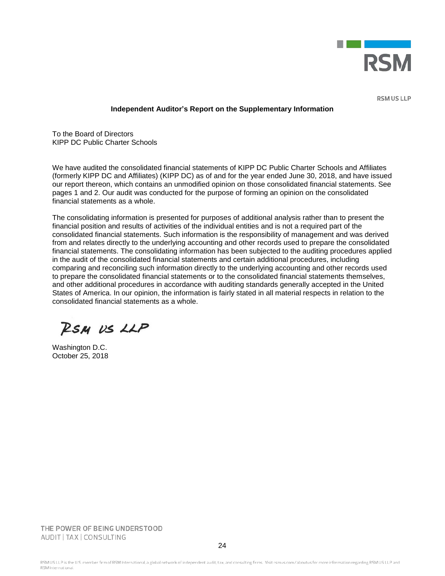

**RSM US LLP** 

#### **Independent Auditor's Report on the Supplementary Information**

To the Board of Directors KIPP DC Public Charter Schools

We have audited the consolidated financial statements of KIPP DC Public Charter Schools and Affiliates (formerly KIPP DC and Affiliates) (KIPP DC) as of and for the year ended June 30, 2018, and have issued our report thereon, which contains an unmodified opinion on those consolidated financial statements. See pages 1 and 2. Our audit was conducted for the purpose of forming an opinion on the consolidated financial statements as a whole.

The consolidating information is presented for purposes of additional analysis rather than to present the financial position and results of activities of the individual entities and is not a required part of the consolidated financial statements. Such information is the responsibility of management and was derived from and relates directly to the underlying accounting and other records used to prepare the consolidated financial statements. The consolidating information has been subjected to the auditing procedures applied in the audit of the consolidated financial statements and certain additional procedures, including comparing and reconciling such information directly to the underlying accounting and other records used to prepare the consolidated financial statements or to the consolidated financial statements themselves, and other additional procedures in accordance with auditing standards generally accepted in the United States of America. In our opinion, the information is fairly stated in all material respects in relation to the consolidated financial statements as a whole.

RSM US LLP

Washington D.C. October 25, 2018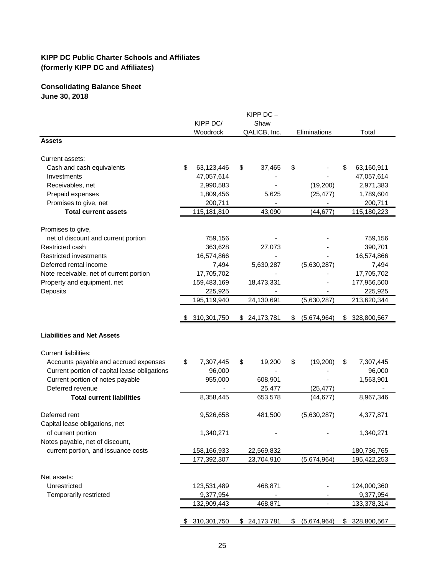# **Consolidating Balance Sheet June 30, 2018**

|                                              |                  | $K$ IPP DC $-$ |                   |    |             |
|----------------------------------------------|------------------|----------------|-------------------|----|-------------|
|                                              | KIPP DC/         | Shaw           |                   |    |             |
|                                              | Woodrock         | QALICB, Inc.   | Eliminations      |    | Total       |
| <b>Assets</b>                                |                  |                |                   |    |             |
| Current assets:                              |                  |                |                   |    |             |
| Cash and cash equivalents                    | \$<br>63,123,446 | \$<br>37,465   | \$                | \$ | 63,160,911  |
| Investments                                  | 47,057,614       |                |                   |    | 47,057,614  |
| Receivables, net                             | 2,990,583        |                | (19,200)          |    | 2,971,383   |
| Prepaid expenses                             | 1,809,456        | 5,625          | (25, 477)         |    | 1,789,604   |
| Promises to give, net                        | 200,711          |                |                   |    | 200,711     |
| <b>Total current assets</b>                  | 115,181,810      | 43,090         | (44, 677)         |    | 115,180,223 |
| Promises to give,                            |                  |                |                   |    |             |
| net of discount and current portion          | 759,156          |                |                   |    | 759,156     |
| Restricted cash                              | 363,628          | 27,073         |                   |    | 390,701     |
| Restricted investments                       | 16,574,866       |                |                   |    | 16,574,866  |
| Deferred rental income                       | 7,494            | 5,630,287      | (5,630,287)       |    | 7,494       |
| Note receivable, net of current portion      | 17,705,702       |                |                   |    | 17,705,702  |
| Property and equipment, net                  | 159,483,169      | 18,473,331     |                   |    | 177,956,500 |
| Deposits                                     | 225,925          |                |                   |    | 225,925     |
|                                              | 195,119,940      | 24,130,691     | (5,630,287)       |    | 213,620,344 |
|                                              | 310,301,750      | \$24,173,781   | \$<br>(5,674,964) | \$ | 328,800,567 |
| <b>Liabilities and Net Assets</b>            |                  |                |                   |    |             |
| <b>Current liabilities:</b>                  |                  |                |                   |    |             |
| Accounts payable and accrued expenses        | \$<br>7,307,445  | \$<br>19,200   | \$<br>(19,200)    | \$ | 7,307,445   |
| Current portion of capital lease obligations | 96,000           |                |                   |    | 96,000      |
| Current portion of notes payable             | 955,000          | 608,901        |                   |    | 1,563,901   |
| Deferred revenue                             |                  | 25,477         | (25, 477)         |    |             |
| <b>Total current liabilities</b>             | 8,358,445        | 653,578        | (44, 677)         |    | 8,967,346   |
| Deferred rent                                | 9,526,658        | 481,500        | (5,630,287)       |    | 4,377,871   |
| Capital lease obligations, net               |                  |                |                   |    |             |
| of current portion                           | 1,340,271        |                |                   |    | 1,340,271   |
| Notes payable, net of discount,              |                  |                |                   |    |             |
| current portion, and issuance costs          | 158,166,933      | 22,569,832     |                   |    | 180,736,765 |
|                                              | 177,392,307      | 23,704,910     | (5,674,964)       |    | 195,422,253 |
| Net assets:                                  |                  |                |                   |    |             |
| Unrestricted                                 | 123,531,489      | 468,871        |                   |    | 124,000,360 |
| Temporarily restricted                       | 9,377,954        |                |                   |    | 9,377,954   |
|                                              | 132,909,443      | 468,871        | -                 |    | 133,378,314 |
|                                              |                  |                |                   |    |             |
|                                              | \$310,301,750    | \$24,173,781   | \$<br>(5,674,964) | S. | 328,800,567 |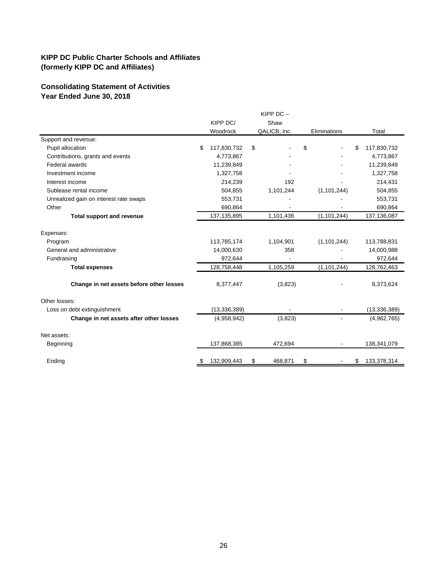## **Consolidating Statement of Activities Year Ended June 30, 2018**

|                                          |                   | KIPP DC-      |               |                   |
|------------------------------------------|-------------------|---------------|---------------|-------------------|
|                                          | KIPP DC/          | Shaw          |               |                   |
|                                          | Woodrock          | QALICB, Inc.  | Eliminations  | Total             |
| Support and revenue:                     |                   |               |               |                   |
| Pupil allocation                         | \$<br>117,830,732 | \$            | \$            | \$<br>117,830,732 |
| Contributions, grants and events         | 4,773,867         |               |               | 4,773,867         |
| Federal awards                           | 11,239,849        |               |               | 11,239,849        |
| Investment income                        | 1,327,758         |               |               | 1,327,758         |
| Interest income                          | 214,239           | 192           |               | 214,431           |
| Sublease rental income                   | 504,855           | 1,101,244     | (1, 101, 244) | 504,855           |
| Unrealized gain on interest rate swaps   | 553,731           |               |               | 553,731           |
| Other                                    | 690,864           |               |               | 690,864           |
| <b>Total support and revenue</b>         | 137, 135, 895     | 1,101,436     | (1, 101, 244) | 137,136,087       |
| Expenses:                                |                   |               |               |                   |
| Program                                  | 113,785,174       | 1,104,901     | (1, 101, 244) | 113,788,831       |
| General and administrative               | 14,000,630        | 358           |               | 14,000,988        |
| Fundraising                              | 972,644           |               |               | 972,644           |
| <b>Total expenses</b>                    | 128,758,448       | 1,105,259     | (1, 101, 244) | 128,762,463       |
| Change in net assets before other losses | 8,377,447         | (3,823)       |               | 8,373,624         |
| Other losses:                            |                   |               |               |                   |
| Loss on debt extinguishment              | (13, 336, 389)    |               |               | (13, 336, 389)    |
| Change in net assets after other losses  | (4,958,942)       | (3,823)       |               | (4,962,765)       |
| Net assets:                              |                   |               |               |                   |
| Beginning                                | 137,868,385       | 472,694       |               | 138,341,079       |
| Ending                                   | \$<br>132,909,443 | \$<br>468,871 | \$            | \$<br>133,378,314 |